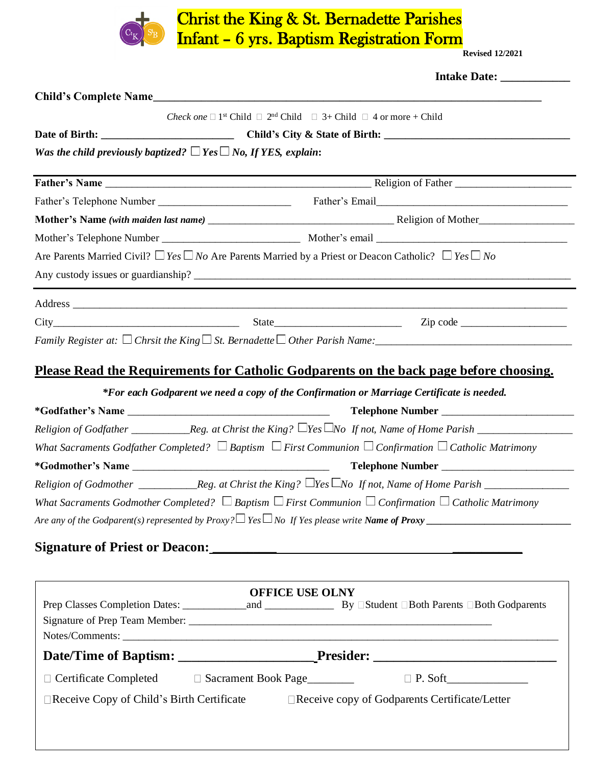

## Christ the King & St. Bernadette Parishes Infant – 6 yrs. Baptism Registration Form Revised 12/2021

|                                                                           | Intake Date: ____________                                                                                                |  |
|---------------------------------------------------------------------------|--------------------------------------------------------------------------------------------------------------------------|--|
|                                                                           |                                                                                                                          |  |
|                                                                           | <i>Check one</i> $\Box$ 1 <sup>st</sup> Child $\Box$ 2 <sup>nd</sup> Child $\Box$ 3+ Child $\Box$ 4 or more + Child      |  |
|                                                                           |                                                                                                                          |  |
| Was the child previously baptized? $\Box$ Yes $\Box$ No, If YES, explain: |                                                                                                                          |  |
|                                                                           |                                                                                                                          |  |
|                                                                           |                                                                                                                          |  |
|                                                                           |                                                                                                                          |  |
|                                                                           |                                                                                                                          |  |
|                                                                           | Are Parents Married Civil? $\Box$ Yes $\Box$ No Are Parents Married by a Priest or Deacon Catholic? $\Box$ Yes $\Box$ No |  |
|                                                                           |                                                                                                                          |  |
|                                                                           |                                                                                                                          |  |
|                                                                           |                                                                                                                          |  |
|                                                                           |                                                                                                                          |  |
|                                                                           | <u>Please Read the Requirements for Catholic Godparents on the back page before choosing.</u>                            |  |
|                                                                           |                                                                                                                          |  |
|                                                                           | *For each Godparent we need a copy of the Confirmation or Marriage Certificate is needed.                                |  |
|                                                                           |                                                                                                                          |  |
|                                                                           |                                                                                                                          |  |
|                                                                           | What Sacraments Godfather Completed? $\Box$ Baptism $\Box$ First Communion $\Box$ Confirmation $\Box$ Catholic Matrimony |  |
|                                                                           |                                                                                                                          |  |
|                                                                           |                                                                                                                          |  |
|                                                                           | What Sacraments Godmother Completed? $\Box$ Baptism $\Box$ First Communion $\Box$ Confirmation $\Box$ Catholic Matrimony |  |
|                                                                           |                                                                                                                          |  |
|                                                                           |                                                                                                                          |  |
|                                                                           |                                                                                                                          |  |
|                                                                           | <b>OFFICE USE OLNY</b>                                                                                                   |  |
|                                                                           |                                                                                                                          |  |
|                                                                           |                                                                                                                          |  |
|                                                                           |                                                                                                                          |  |
|                                                                           |                                                                                                                          |  |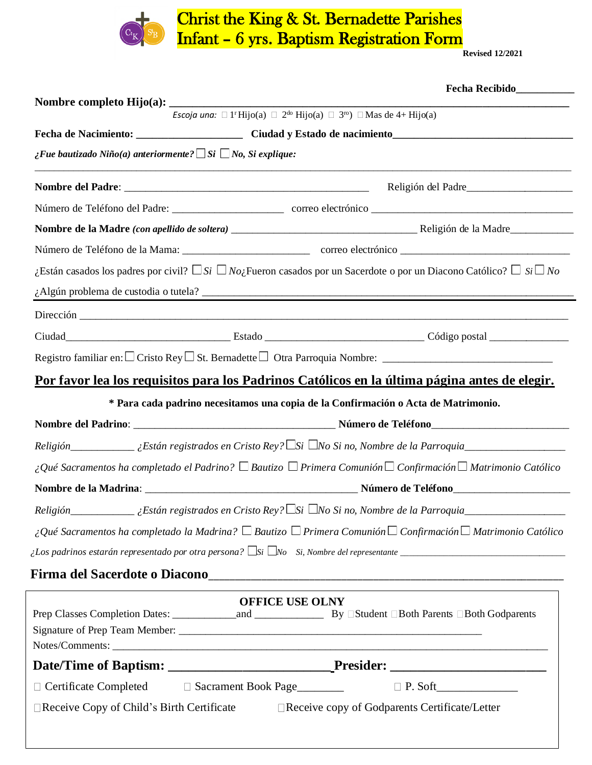

## Christ the King & St. Bernadette Parishes Infant – 6 yrs. Baptism Registration Form Revised 12/2021

|                                                                         | Escoja una: $\Box$ 1 <sup>r</sup> Hijo(a) $\Box$ 2 <sup>do</sup> Hijo(a) $\Box$ 3 <sup>ro</sup> ) $\Box$ Mas de 4+ Hijo(a) |                                                                                                                                                                                                                                |
|-------------------------------------------------------------------------|----------------------------------------------------------------------------------------------------------------------------|--------------------------------------------------------------------------------------------------------------------------------------------------------------------------------------------------------------------------------|
|                                                                         |                                                                                                                            |                                                                                                                                                                                                                                |
| ¿Fue bautizado Niño(a) anteriormente? $\Box$ Si $\Box$ No, Si explique: |                                                                                                                            |                                                                                                                                                                                                                                |
|                                                                         |                                                                                                                            |                                                                                                                                                                                                                                |
|                                                                         |                                                                                                                            |                                                                                                                                                                                                                                |
|                                                                         |                                                                                                                            |                                                                                                                                                                                                                                |
|                                                                         |                                                                                                                            |                                                                                                                                                                                                                                |
|                                                                         |                                                                                                                            | ¿Están casados los padres por civil? $\Box$ Si $\Box$ No <sub>c</sub> Fueron casados por un Sacerdote o por un Diacono Católico? $\Box$ Si $\Box$ No                                                                           |
|                                                                         | $\lambda$ Algún problema de custodia o tutela?                                                                             |                                                                                                                                                                                                                                |
|                                                                         |                                                                                                                            |                                                                                                                                                                                                                                |
|                                                                         |                                                                                                                            |                                                                                                                                                                                                                                |
|                                                                         |                                                                                                                            |                                                                                                                                                                                                                                |
|                                                                         |                                                                                                                            | Por favor lea los requisitos para los Padrinos Católicos en la última página antes de elegir.                                                                                                                                  |
|                                                                         | * Para cada padrino necesitamos una copia de la Confirmación o Acta de Matrimonio.                                         |                                                                                                                                                                                                                                |
|                                                                         |                                                                                                                            |                                                                                                                                                                                                                                |
|                                                                         |                                                                                                                            |                                                                                                                                                                                                                                |
|                                                                         |                                                                                                                            | i Qué Sacramentos ha completado el Padrino? $\Box$ Bautizo $\Box$ Primera Comunión $\Box$ Confirmación $\Box$ Matrimonio Católico                                                                                              |
|                                                                         |                                                                                                                            | Nombre de la Madrina: La component de la Madrina de la Constitución de la component de la mateixa de la component de la component de la component de la component de la component de la component de la component de la compon |
| Religión                                                                | $\_$ ¿Están registrados en Cristo Rey? $\Box$ Si $\Box$ No Si no, Nombre de la Parroquia_                                  |                                                                                                                                                                                                                                |
|                                                                         |                                                                                                                            | $\Box$ Qué Sacramentos ha completado la Madrina? $\Box$ Bautizo $\Box$ Primera Comunión $\Box$ Confirmación $\Box$ Matrimonio Católico                                                                                         |
|                                                                         |                                                                                                                            |                                                                                                                                                                                                                                |
|                                                                         |                                                                                                                            |                                                                                                                                                                                                                                |
|                                                                         | <b>OFFICE USE OLNY</b>                                                                                                     |                                                                                                                                                                                                                                |
|                                                                         |                                                                                                                            | Notes/Comments:                                                                                                                                                                                                                |
|                                                                         |                                                                                                                            |                                                                                                                                                                                                                                |
|                                                                         |                                                                                                                            |                                                                                                                                                                                                                                |
|                                                                         |                                                                                                                            |                                                                                                                                                                                                                                |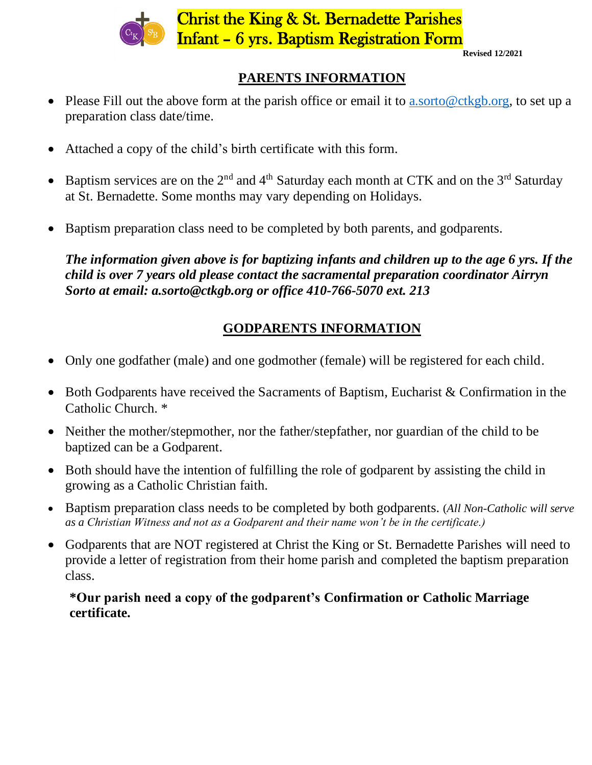

## **PARENTS INFORMATION**

- Please Fill out the above form at the parish office or email it to a sorto@ctkgb.org, to set up a preparation class date/time.
- Attached a copy of the child's birth certificate with this form.
- Baptism services are on the  $2<sup>nd</sup>$  and  $4<sup>th</sup>$  Saturday each month at CTK and on the  $3<sup>rd</sup>$  Saturday at St. Bernadette. Some months may vary depending on Holidays.
- Baptism preparation class need to be completed by both parents, and godparents.

*The information given above is for baptizing infants and children up to the age 6 yrs. If the child is over 7 years old please contact the sacramental preparation coordinator Airryn Sorto at email: a.sorto@ctkgb.org or office 410-766-5070 ext. 213*

# **GODPARENTS INFORMATION**

- Only one godfather (male) and one godmother (female) will be registered for each child.
- Both Godparents have received the Sacraments of Baptism, Eucharist & Confirmation in the Catholic Church. \*
- Neither the mother/stepmother, nor the father/stepfather, nor guardian of the child to be baptized can be a Godparent.
- Both should have the intention of fulfilling the role of godparent by assisting the child in growing as a Catholic Christian faith.
- Baptism preparation class needs to be completed by both godparents. (*All Non-Catholic will serve as a Christian Witness and not as a Godparent and their name won't be in the certificate.)*
- Godparents that are NOT registered at Christ the King or St. Bernadette Parishes will need to provide a letter of registration from their home parish and completed the baptism preparation class.

## **\*Our parish need a copy of the godparent's Confirmation or Catholic Marriage certificate.**